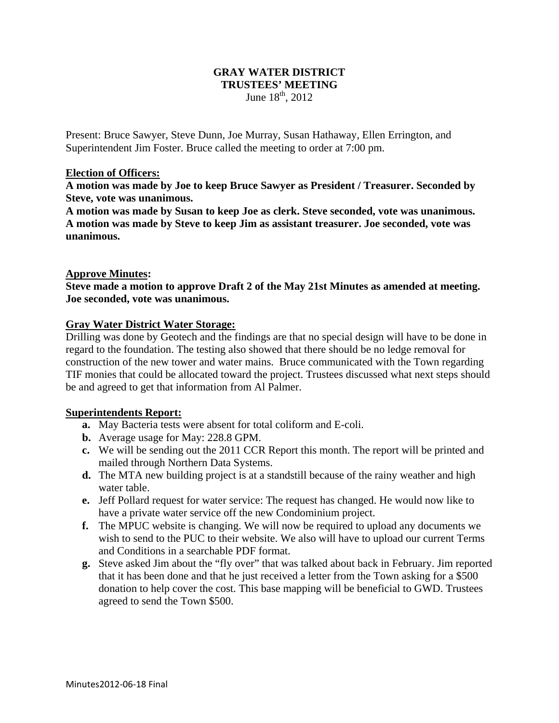## **GRAY WATER DISTRICT TRUSTEES' MEETING**  June  $18^{th}$ , 2012

Present: Bruce Sawyer, Steve Dunn, Joe Murray, Susan Hathaway, Ellen Errington, and Superintendent Jim Foster. Bruce called the meeting to order at 7:00 pm.

### **Election of Officers:**

**A motion was made by Joe to keep Bruce Sawyer as President / Treasurer. Seconded by Steve, vote was unanimous.** 

**A motion was made by Susan to keep Joe as clerk. Steve seconded, vote was unanimous. A motion was made by Steve to keep Jim as assistant treasurer. Joe seconded, vote was unanimous.** 

### **Approve Minutes:**

**Steve made a motion to approve Draft 2 of the May 21st Minutes as amended at meeting. Joe seconded, vote was unanimous.** 

### **Gray Water District Water Storage:**

Drilling was done by Geotech and the findings are that no special design will have to be done in regard to the foundation. The testing also showed that there should be no ledge removal for construction of the new tower and water mains. Bruce communicated with the Town regarding TIF monies that could be allocated toward the project. Trustees discussed what next steps should be and agreed to get that information from Al Palmer.

### **Superintendents Report:**

- **a.** May Bacteria tests were absent for total coliform and E-coli.
- **b.** Average usage for May: 228.8 GPM.
- **c.** We will be sending out the 2011 CCR Report this month. The report will be printed and mailed through Northern Data Systems.
- **d.** The MTA new building project is at a standstill because of the rainy weather and high water table.
- **e.** Jeff Pollard request for water service: The request has changed. He would now like to have a private water service off the new Condominium project.
- **f.** The MPUC website is changing. We will now be required to upload any documents we wish to send to the PUC to their website. We also will have to upload our current Terms and Conditions in a searchable PDF format.
- **g.** Steve asked Jim about the "fly over" that was talked about back in February. Jim reported that it has been done and that he just received a letter from the Town asking for a \$500 donation to help cover the cost. This base mapping will be beneficial to GWD. Trustees agreed to send the Town \$500.